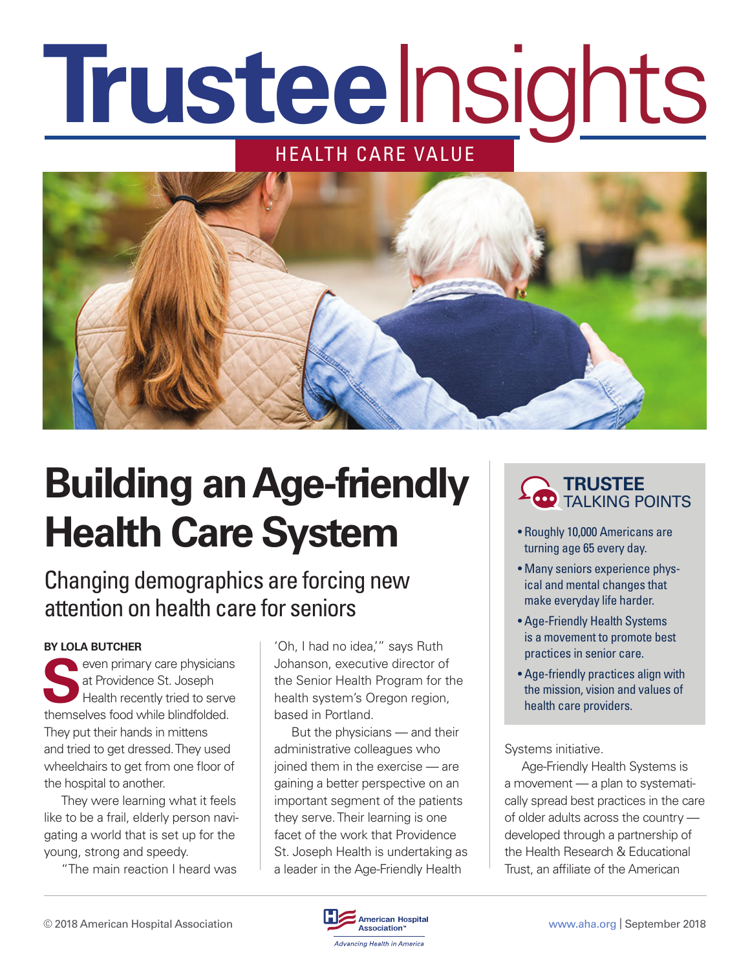# HEALTH CARE VALUE **Trustee**Insights



# **Building an Age-friendly Health Care System**

### Changing demographics are forcing new attention on health care for seniors

#### **BY LOLA BUTCHER**

seven primary care physicians at Providence St. Joseph Health recently tried to serve themselves food while blindfolded. They put their hands in mittens and tried to get dressed. They used wheelchairs to get from one floor of the hospital to another.

They were learning what it feels like to be a frail, elderly person navigating a world that is set up for the young, strong and speedy.

"The main reaction I heard was

'Oh, I had no idea,'" says Ruth Johanson, executive director of the Senior Health Program for the health system's Oregon region, based in Portland.

But the physicians — and their administrative colleagues who joined them in the exercise — are gaining a better perspective on an important segment of the patients they serve. Their learning is one facet of the work that Providence St. Joseph Health is undertaking as a leader in the Age-Friendly Health

### **TRUSTEE** TALKING POINTS

- Roughly 10,000 Americans are turning age 65 every day.
- Many seniors experience physical and mental changes that make everyday life harder.
- Age-Friendly Health Systems is a movement to promote best practices in senior care.
- Age-friendly practices align with the mission, vision and values of health care providers.

Systems initiative.

Age-Friendly Health Systems is a movement — a plan to systematically spread best practices in the care of older adults across the country developed through a partnership of the Health Research & Educational Trust, an affiliate of the American

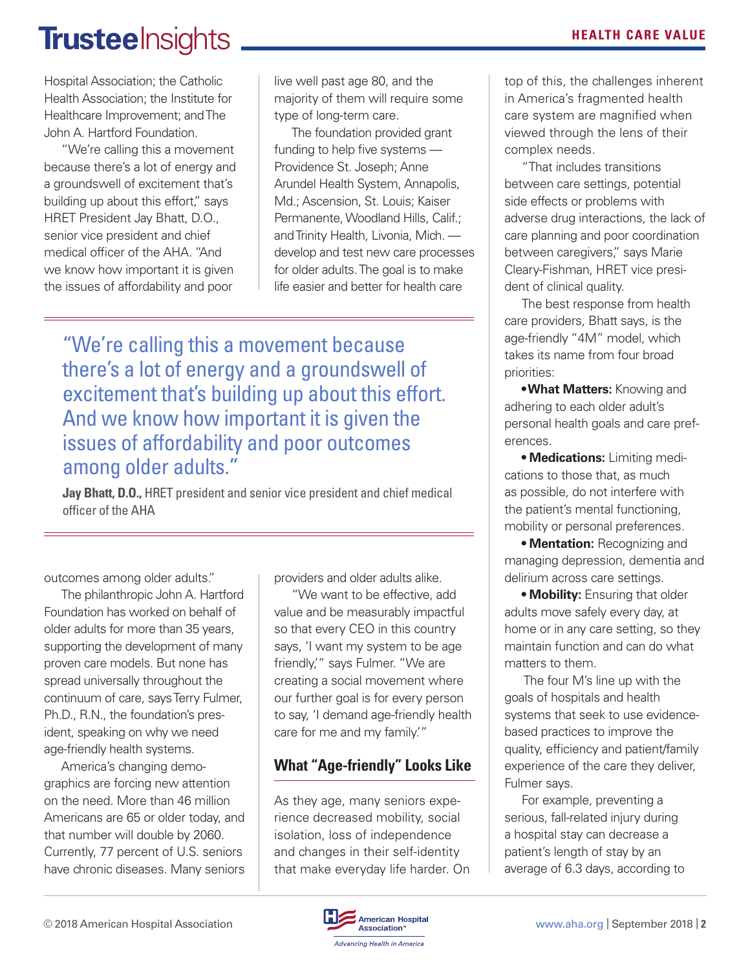## **Trustee** Insights **All According to the CARE VALUE**

Hospital Association; the Catholic Health Association; the Institute for Healthcare Improvement; and The John A. Hartford Foundation.

"We're calling this a movement because there's a lot of energy and a groundswell of excitement that's building up about this effort," says HRET President Jay Bhatt, D.O., senior vice president and chief medical officer of the AHA. "And we know how important it is given the issues of affordability and poor

live well past age 80, and the majority of them will require some type of long-term care.

The foundation provided grant funding to help five systems — Providence St. Joseph; Anne Arundel Health System, Annapolis, Md.; Ascension, St. Louis; Kaiser Permanente, Woodland Hills, Calif.; and Trinity Health, Livonia, Mich. develop and test new care processes for older adults. The goal is to make life easier and better for health care

"We're calling this a movement because there's a lot of energy and a groundswell of excitement that's building up about this effort. And we know how important it is given the issues of affordability and poor outcomes among older adults."

**Jay Bhatt, D.O.,** HRET president and senior vice president and chief medical officer of the AHA

outcomes among older adults."

The philanthropic John A. Hartford Foundation has worked on behalf of older adults for more than 35 years, supporting the development of many proven care models. But none has spread universally throughout the continuum of care, says Terry Fulmer, Ph.D., R.N., the foundation's president, speaking on why we need age-friendly health systems.

America's changing demographics are forcing new attention on the need. More than 46 million Americans are 65 or older today, and that number will double by 2060. Currently, 77 percent of U.S. seniors have chronic diseases. Many seniors providers and older adults alike.

"We want to be effective, add value and be measurably impactful so that every CEO in this country says, 'I want my system to be age friendly,'" says Fulmer. "We are creating a social movement where our further goal is for every person to say, 'I demand age-friendly health care for me and my family.'"

### **What "Age-friendly" Looks Like**

As they age, many seniors experience decreased mobility, social isolation, loss of independence and changes in their self-identity that make everyday life harder. On top of this, the challenges inherent in America's fragmented health care system are magnified when viewed through the lens of their complex needs.

"That includes transitions between care settings, potential side effects or problems with adverse drug interactions, the lack of care planning and poor coordination between caregivers," says Marie Cleary-Fishman, HRET vice president of clinical quality.

The best response from health care providers, Bhatt says, is the age-friendly "4M" model, which takes its name from four broad priorities:

**• What Matters:** Knowing and adhering to each older adult's personal health goals and care preferences.

**• Medications:** Limiting medications to those that, as much as possible, do not interfere with the patient's mental functioning, mobility or personal preferences.

**• Mentation:** Recognizing and managing depression, dementia and delirium across care settings.

**• Mobility: Ensuring that older** adults move safely every day, at home or in any care setting, so they maintain function and can do what matters to them.

 The four M's line up with the goals of hospitals and health systems that seek to use evidencebased practices to improve the quality, efficiency and patient/family experience of the care they deliver, Fulmer says.

For example, preventing a serious, fall-related injury during a hospital stay can decrease a patient's length of stay by an average of 6.3 days, according to

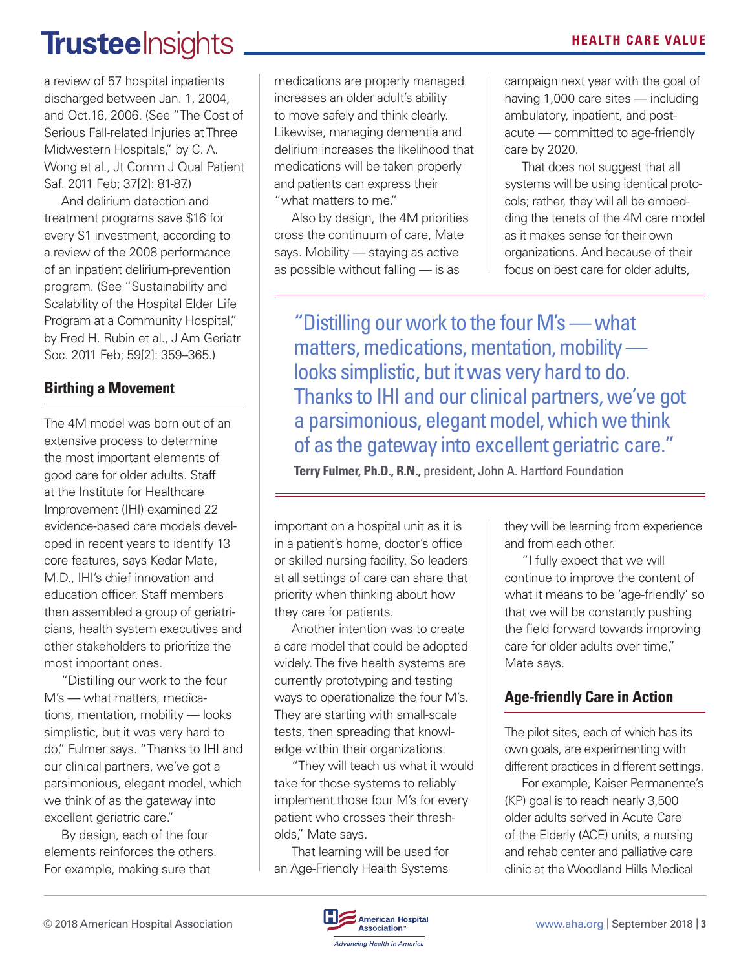### **Trustee** Insights **All and Separate CARE VALUE**

a review of 57 hospital inpatients discharged between Jan. 1, 2004, and Oct.16, 2006. (See "The Cost of Serious Fall-related Injuries at Three Midwestern Hospitals," by C. A. Wong et al., Jt Comm J Qual Patient Saf. 2011 Feb; 37[2]: 81-87.)

And delirium detection and treatment programs save \$16 for every \$1 investment, according to a review of the 2008 performance of an inpatient delirium-prevention program. (See "Sustainability and Scalability of the Hospital Elder Life Program at a Community Hospital," by Fred H. Rubin et al., J Am Geriatr Soc. 2011 Feb; 59[2]: 359–365.)

### **Birthing a Movement**

The 4M model was born out of an extensive process to determine the most important elements of good care for older adults. Staff at the Institute for Healthcare Improvement (IHI) examined 22 evidence-based care models developed in recent years to identify 13 core features, says Kedar Mate, M.D., IHI's chief innovation and education officer. Staff members then assembled a group of geriatricians, health system executives and other stakeholders to prioritize the most important ones.

"Distilling our work to the four M's — what matters, medications, mentation, mobility — looks simplistic, but it was very hard to do," Fulmer says. "Thanks to IHI and our clinical partners, we've got a parsimonious, elegant model, which we think of as the gateway into excellent geriatric care."

By design, each of the four elements reinforces the others. For example, making sure that

medications are properly managed increases an older adult's ability to move safely and think clearly. Likewise, managing dementia and delirium increases the likelihood that medications will be taken properly and patients can express their "what matters to me."

Also by design, the 4M priorities cross the continuum of care, Mate says. Mobility — staying as active as possible without falling — is as

campaign next year with the goal of having 1,000 care sites — including ambulatory, inpatient, and postacute — committed to age-friendly care by 2020.

That does not suggest that all systems will be using identical protocols; rather, they will all be embedding the tenets of the 4M care model as it makes sense for their own organizations. And because of their focus on best care for older adults,

"Distilling our work to the four M's — what matters, medications, mentation, mobility looks simplistic, but it was very hard to do. Thanks to IHI and our clinical partners, we've got a parsimonious, elegant model, which we think of as the gateway into excellent geriatric care."

**Terry Fulmer, Ph.D., R.N.,** president, John A. Hartford Foundation

important on a hospital unit as it is in a patient's home, doctor's office or skilled nursing facility. So leaders at all settings of care can share that priority when thinking about how they care for patients.

Another intention was to create a care model that could be adopted widely. The five health systems are currently prototyping and testing ways to operationalize the four M's. They are starting with small-scale tests, then spreading that knowledge within their organizations.

"They will teach us what it would take for those systems to reliably implement those four M's for every patient who crosses their thresholds," Mate says.

That learning will be used for an Age-Friendly Health Systems they will be learning from experience and from each other.

"I fully expect that we will continue to improve the content of what it means to be 'age-friendly' so that we will be constantly pushing the field forward towards improving care for older adults over time," Mate says.

### **Age-friendly Care in Action**

The pilot sites, each of which has its own goals, are experimenting with different practices in different settings.

For example, Kaiser Permanente's (KP) goal is to reach nearly 3,500 older adults served in Acute Care of the Elderly (ACE) units, a nursing and rehab center and palliative care clinic at the Woodland Hills Medical

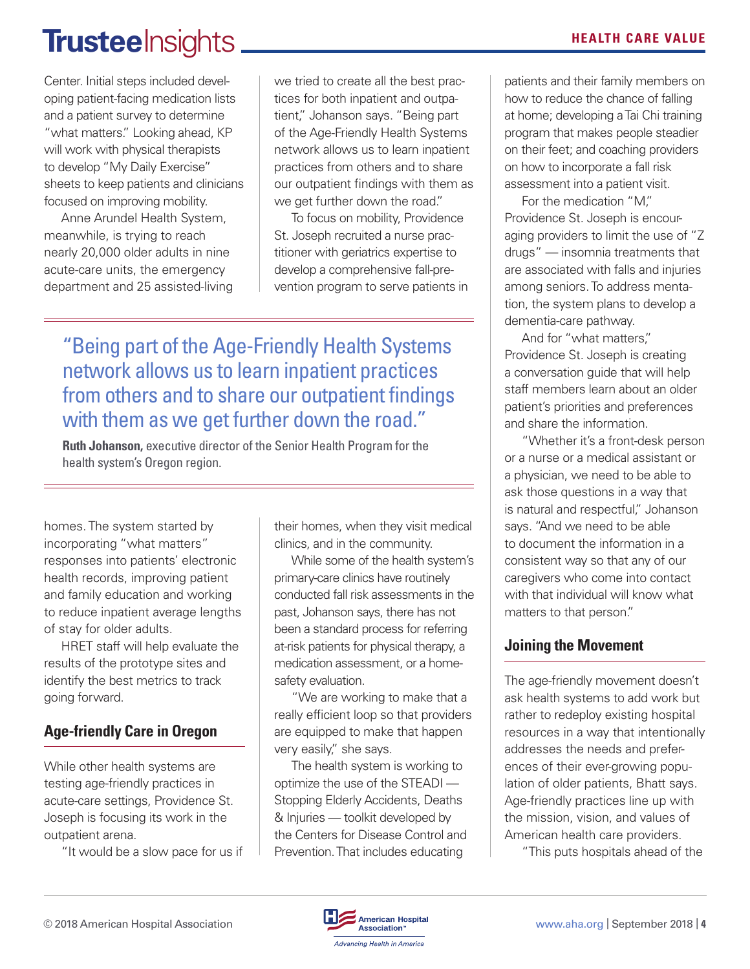## **Trustee** Insights **MEALTH CARE VALUE**

Center. Initial steps included developing patient-facing medication lists and a patient survey to determine "what matters." Looking ahead, KP will work with physical therapists to develop "My Daily Exercise" sheets to keep patients and clinicians focused on improving mobility.

Anne Arundel Health System, meanwhile, is trying to reach nearly 20,000 older adults in nine acute-care units, the emergency department and 25 assisted-living we tried to create all the best practices for both inpatient and outpatient," Johanson says. "Being part of the Age-Friendly Health Systems network allows us to learn inpatient practices from others and to share our outpatient findings with them as we get further down the road."

To focus on mobility, Providence St. Joseph recruited a nurse practitioner with geriatrics expertise to develop a comprehensive fall-prevention program to serve patients in

"Being part of the Age-Friendly Health Systems network allows us to learn inpatient practices from others and to share our outpatient findings with them as we get further down the road."

**Ruth Johanson,** executive director of the Senior Health Program for the health system's Oregon region.

homes. The system started by incorporating "what matters" responses into patients' electronic health records, improving patient and family education and working to reduce inpatient average lengths of stay for older adults.

HRET staff will help evaluate the results of the prototype sites and identify the best metrics to track going forward.

### **Age-friendly Care in Oregon**

While other health systems are testing age-friendly practices in acute-care settings, Providence St. Joseph is focusing its work in the outpatient arena.

"It would be a slow pace for us if

their homes, when they visit medical clinics, and in the community.

While some of the health system's primary-care clinics have routinely conducted fall risk assessments in the past, Johanson says, there has not been a standard process for referring at-risk patients for physical therapy, a medication assessment, or a homesafety evaluation.

"We are working to make that a really efficient loop so that providers are equipped to make that happen very easily," she says.

The health system is working to optimize the use of the STEADI — Stopping Elderly Accidents, Deaths & Injuries — toolkit developed by the Centers for Disease Control and Prevention. That includes educating

patients and their family members on how to reduce the chance of falling at home; developing a Tai Chi training program that makes people steadier on their feet; and coaching providers on how to incorporate a fall risk assessment into a patient visit.

For the medication "M," Providence St. Joseph is encouraging providers to limit the use of "Z drugs" — insomnia treatments that are associated with falls and injuries among seniors. To address mentation, the system plans to develop a dementia-care pathway.

And for "what matters," Providence St. Joseph is creating a conversation guide that will help staff members learn about an older patient's priorities and preferences and share the information.

"Whether it's a front-desk person or a nurse or a medical assistant or a physician, we need to be able to ask those questions in a way that is natural and respectful," Johanson says. "And we need to be able to document the information in a consistent way so that any of our caregivers who come into contact with that individual will know what matters to that person."

### **Joining the Movement**

The age-friendly movement doesn't ask health systems to add work but rather to redeploy existing hospital resources in a way that intentionally addresses the needs and preferences of their ever-growing population of older patients, Bhatt says. Age-friendly practices line up with the mission, vision, and values of American health care providers.

"This puts hospitals ahead of the